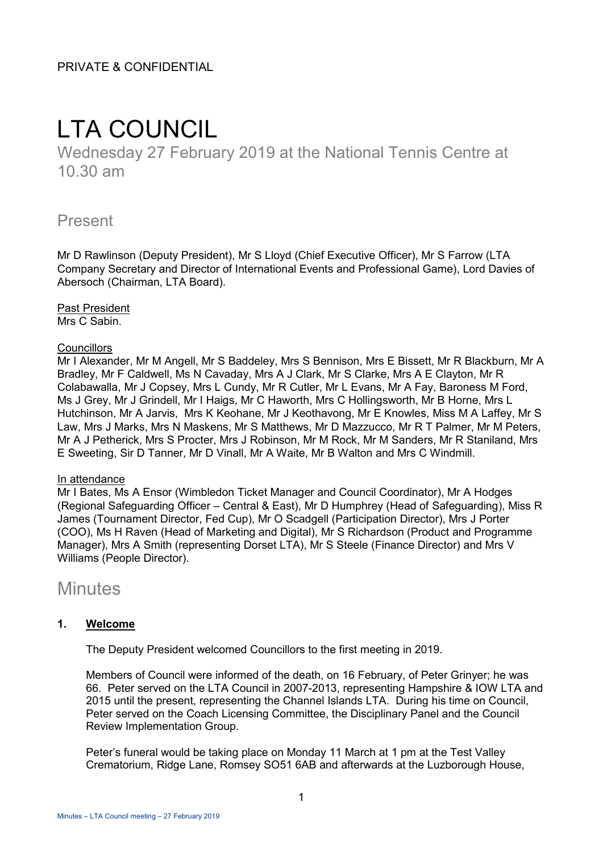# LTA COUNCIL

Wednesday 27 February 2019 at the National Tennis Centre at 10.30 am

# Present

Mr D Rawlinson (Deputy President), Mr S Lloyd (Chief Executive Officer), Mr S Farrow (LTA Company Secretary and Director of International Events and Professional Game), Lord Davies of Abersoch (Chairman, LTA Board).

Past President Mrs C Sabin.

#### **Councillors**

Mr I Alexander, Mr M Angell, Mr S Baddeley, Mrs S Bennison, Mrs E Bissett, Mr R Blackburn, Mr A Bradley, Mr F Caldwell, Ms N Cavaday, Mrs A J Clark, Mr S Clarke, Mrs A E Clayton, Mr R Colabawalla, Mr J Copsey, Mrs L Cundy, Mr R Cutler, Mr L Evans, Mr A Fay, Baroness M Ford, Ms J Grey, Mr J Grindell, Mr I Haigs, Mr C Haworth, Mrs C Hollingsworth, Mr B Horne, Mrs L Hutchinson, Mr A Jarvis, Mrs K Keohane, Mr J Keothavong, Mr E Knowles, Miss M A Laffey, Mr S Law, Mrs J Marks, Mrs N Maskens, Mr S Matthews, Mr D Mazzucco, Mr R T Palmer, Mr M Peters, Mr A J Petherick, Mrs S Procter, Mrs J Robinson, Mr M Rock, Mr M Sanders, Mr R Staniland, Mrs E Sweeting, Sir D Tanner, Mr D Vinall, Mr A Waite, Mr B Walton and Mrs C Windmill.

#### In attendance

Mr I Bates, Ms A Ensor (Wimbledon Ticket Manager and Council Coordinator), Mr A Hodges (Regional Safeguarding Officer – Central & East), Mr D Humphrey (Head of Safeguarding), Miss R James (Tournament Director, Fed Cup), Mr O Scadgell (Participation Director), Mrs J Porter (COO), Ms H Raven (Head of Marketing and Digital), Mr S Richardson (Product and Programme Manager), Mrs A Smith (representing Dorset LTA), Mr S Steele (Finance Director) and Mrs V Williams (People Director).

# **Minutes**

## **1. Welcome**

The Deputy President welcomed Councillors to the first meeting in 2019.

Members of Council were informed of the death, on 16 February, of Peter Grinyer; he was 66. Peter served on the LTA Council in 2007-2013, representing Hampshire & IOW LTA and 2015 until the present, representing the Channel Islands LTA. During his time on Council, Peter served on the Coach Licensing Committee, the Disciplinary Panel and the Council Review Implementation Group.

Peter's funeral would be taking place on Monday 11 March at 1 pm at the Test Valley Crematorium, Ridge Lane, Romsey SO51 6AB and afterwards at the Luzborough House,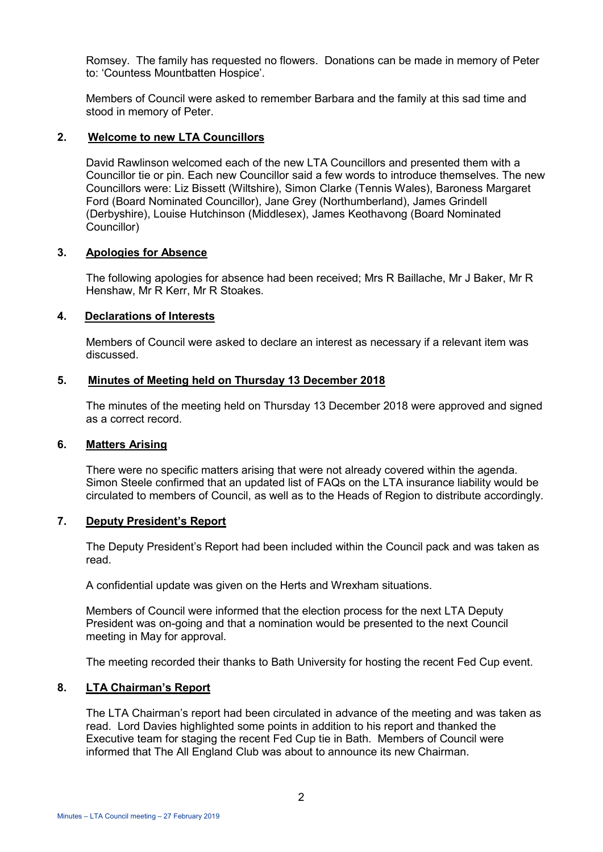Romsey. The family has requested no flowers. Donations can be made in memory of Peter to: 'Countess Mountbatten Hospice'.

Members of Council were asked to remember Barbara and the family at this sad time and stood in memory of Peter.

#### **2. Welcome to new LTA Councillors**

David Rawlinson welcomed each of the new LTA Councillors and presented them with a Councillor tie or pin. Each new Councillor said a few words to introduce themselves. The new Councillors were: Liz Bissett (Wiltshire), Simon Clarke (Tennis Wales), Baroness Margaret Ford (Board Nominated Councillor), Jane Grey (Northumberland), James Grindell (Derbyshire), Louise Hutchinson (Middlesex), James Keothavong (Board Nominated Councillor)

#### **3. Apologies for Absence**

The following apologies for absence had been received; Mrs R Baillache, Mr J Baker, Mr R Henshaw, Mr R Kerr, Mr R Stoakes.

#### **4. Declarations of Interests**

Members of Council were asked to declare an interest as necessary if a relevant item was discussed.

#### **5. Minutes of Meeting held on Thursday 13 December 2018**

The minutes of the meeting held on Thursday 13 December 2018 were approved and signed as a correct record.

#### **6. Matters Arising**

There were no specific matters arising that were not already covered within the agenda. Simon Steele confirmed that an updated list of FAQs on the LTA insurance liability would be circulated to members of Council, as well as to the Heads of Region to distribute accordingly.

#### **7. Deputy President's Report**

The Deputy President's Report had been included within the Council pack and was taken as read.

A confidential update was given on the Herts and Wrexham situations.

Members of Council were informed that the election process for the next LTA Deputy President was on-going and that a nomination would be presented to the next Council meeting in May for approval.

The meeting recorded their thanks to Bath University for hosting the recent Fed Cup event.

#### **8. LTA Chairman's Report**

The LTA Chairman's report had been circulated in advance of the meeting and was taken as read. Lord Davies highlighted some points in addition to his report and thanked the Executive team for staging the recent Fed Cup tie in Bath. Members of Council were informed that The All England Club was about to announce its new Chairman.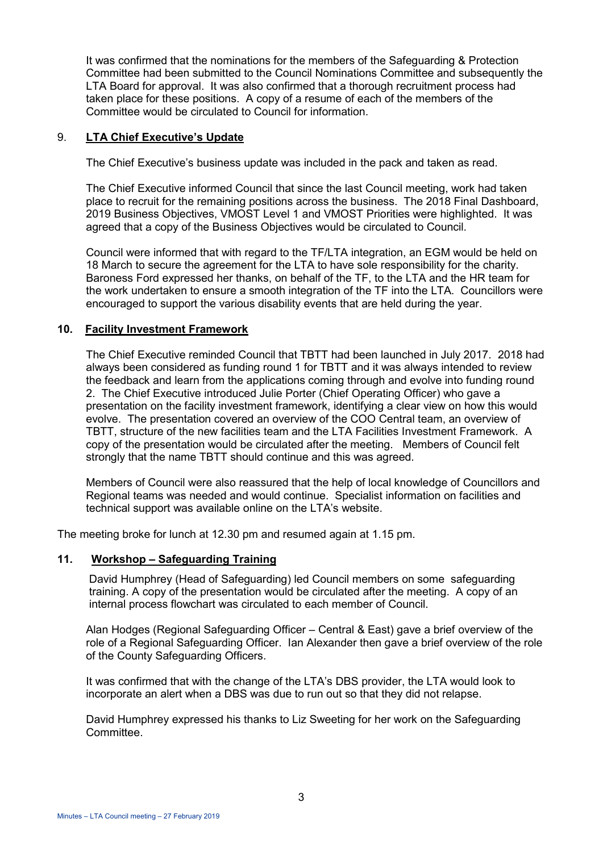It was confirmed that the nominations for the members of the Safeguarding & Protection Committee had been submitted to the Council Nominations Committee and subsequently the LTA Board for approval. It was also confirmed that a thorough recruitment process had taken place for these positions. A copy of a resume of each of the members of the Committee would be circulated to Council for information.

#### 9. **LTA Chief Executive's Update**

The Chief Executive's business update was included in the pack and taken as read.

The Chief Executive informed Council that since the last Council meeting, work had taken place to recruit for the remaining positions across the business. The 2018 Final Dashboard, 2019 Business Objectives, VMOST Level 1 and VMOST Priorities were highlighted. It was agreed that a copy of the Business Objectives would be circulated to Council.

Council were informed that with regard to the TF/LTA integration, an EGM would be held on 18 March to secure the agreement for the LTA to have sole responsibility for the charity. Baroness Ford expressed her thanks, on behalf of the TF, to the LTA and the HR team for the work undertaken to ensure a smooth integration of the TF into the LTA. Councillors were encouraged to support the various disability events that are held during the year.

#### **10. Facility Investment Framework**

The Chief Executive reminded Council that TBTT had been launched in July 2017. 2018 had always been considered as funding round 1 for TBTT and it was always intended to review the feedback and learn from the applications coming through and evolve into funding round 2. The Chief Executive introduced Julie Porter (Chief Operating Officer) who gave a presentation on the facility investment framework, identifying a clear view on how this would evolve. The presentation covered an overview of the COO Central team, an overview of TBTT, structure of the new facilities team and the LTA Facilities Investment Framework. A copy of the presentation would be circulated after the meeting. Members of Council felt strongly that the name TBTT should continue and this was agreed.

Members of Council were also reassured that the help of local knowledge of Councillors and Regional teams was needed and would continue. Specialist information on facilities and technical support was available online on the LTA's website.

The meeting broke for lunch at 12.30 pm and resumed again at 1.15 pm.

#### **11. Workshop – Safeguarding Training**

David Humphrey (Head of Safeguarding) led Council members on some safeguarding training. A copy of the presentation would be circulated after the meeting. A copy of an internal process flowchart was circulated to each member of Council.

Alan Hodges (Regional Safeguarding Officer – Central & East) gave a brief overview of the role of a Regional Safeguarding Officer. Ian Alexander then gave a brief overview of the role of the County Safeguarding Officers.

It was confirmed that with the change of the LTA's DBS provider, the LTA would look to incorporate an alert when a DBS was due to run out so that they did not relapse.

David Humphrey expressed his thanks to Liz Sweeting for her work on the Safeguarding Committee.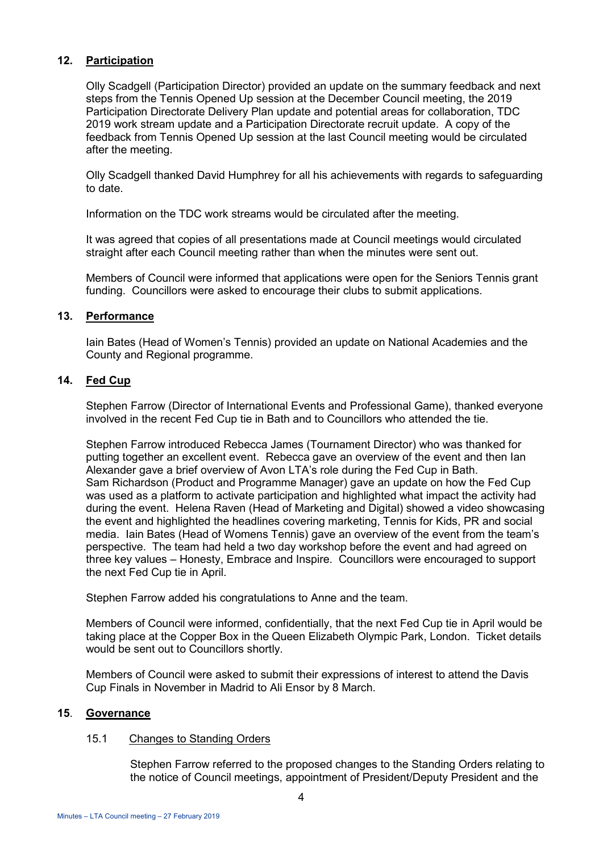### **12. Participation**

Olly Scadgell (Participation Director) provided an update on the summary feedback and next steps from the Tennis Opened Up session at the December Council meeting, the 2019 Participation Directorate Delivery Plan update and potential areas for collaboration, TDC 2019 work stream update and a Participation Directorate recruit update. A copy of the feedback from Tennis Opened Up session at the last Council meeting would be circulated after the meeting.

Olly Scadgell thanked David Humphrey for all his achievements with regards to safeguarding to date.

Information on the TDC work streams would be circulated after the meeting.

It was agreed that copies of all presentations made at Council meetings would circulated straight after each Council meeting rather than when the minutes were sent out.

Members of Council were informed that applications were open for the Seniors Tennis grant funding. Councillors were asked to encourage their clubs to submit applications.

#### **13. Performance**

Iain Bates (Head of Women's Tennis) provided an update on National Academies and the County and Regional programme.

## **14. Fed Cup**

Stephen Farrow (Director of International Events and Professional Game), thanked everyone involved in the recent Fed Cup tie in Bath and to Councillors who attended the tie.

Stephen Farrow introduced Rebecca James (Tournament Director) who was thanked for putting together an excellent event. Rebecca gave an overview of the event and then Ian Alexander gave a brief overview of Avon LTA's role during the Fed Cup in Bath. Sam Richardson (Product and Programme Manager) gave an update on how the Fed Cup was used as a platform to activate participation and highlighted what impact the activity had during the event. Helena Raven (Head of Marketing and Digital) showed a video showcasing the event and highlighted the headlines covering marketing, Tennis for Kids, PR and social media. Iain Bates (Head of Womens Tennis) gave an overview of the event from the team's perspective. The team had held a two day workshop before the event and had agreed on three key values – Honesty, Embrace and Inspire. Councillors were encouraged to support the next Fed Cup tie in April.

Stephen Farrow added his congratulations to Anne and the team.

Members of Council were informed, confidentially, that the next Fed Cup tie in April would be taking place at the Copper Box in the Queen Elizabeth Olympic Park, London. Ticket details would be sent out to Councillors shortly.

Members of Council were asked to submit their expressions of interest to attend the Davis Cup Finals in November in Madrid to Ali Ensor by 8 March.

#### **15**. **Governance**

#### 15.1 Changes to Standing Orders

Stephen Farrow referred to the proposed changes to the Standing Orders relating to the notice of Council meetings, appointment of President/Deputy President and the